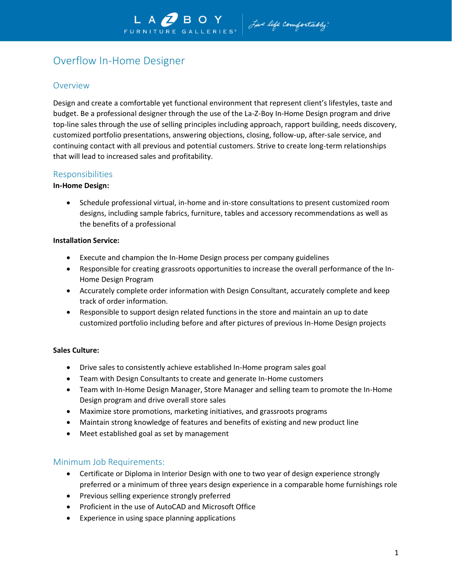# Overflow In-Home Designer

## **Overview**

Design and create a comfortable yet functional environment that represent client's lifestyles, taste and budget. Be a professional designer through the use of the La-Z-Boy In-Home Design program and drive top-line sales through the use of selling principles including approach, rapport building, needs discovery, customized portfolio presentations, answering objections, closing, follow-up, after-sale service, and continuing contact with all previous and potential customers. Strive to create long-term relationships that will lead to increased sales and profitability.

## Responsibilities

#### **In-Home Design:**

• Schedule professional virtual, in-home and in-store consultations to present customized room designs, including sample fabrics, furniture, tables and accessory recommendations as well as the benefits of a professional

#### **Installation Service:**

- Execute and champion the In-Home Design process per company guidelines
- Responsible for creating grassroots opportunities to increase the overall performance of the In-Home Design Program
- Accurately complete order information with Design Consultant, accurately complete and keep track of order information.
- Responsible to support design related functions in the store and maintain an up to date customized portfolio including before and after pictures of previous In-Home Design projects

#### **Sales Culture:**

- Drive sales to consistently achieve established In-Home program sales goal
- Team with Design Consultants to create and generate In-Home customers
- Team with In-Home Design Manager, Store Manager and selling team to promote the In-Home Design program and drive overall store sales
- Maximize store promotions, marketing initiatives, and grassroots programs
- Maintain strong knowledge of features and benefits of existing and new product line
- Meet established goal as set by management

## Minimum Job Requirements:

- Certificate or Diploma in Interior Design with one to two year of design experience strongly preferred or a minimum of three years design experience in a comparable home furnishings role
- Previous selling experience strongly preferred
- Proficient in the use of AutoCAD and Microsoft Office
- Experience in using space planning applications